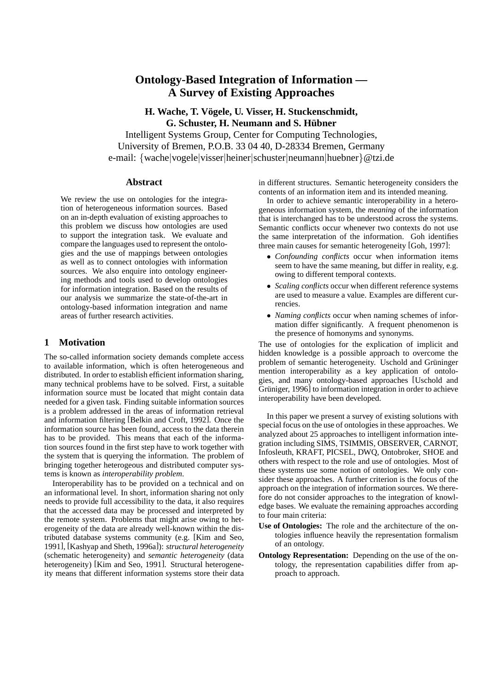# **Ontology-Based Integration of Information — A Survey of Existing Approaches**

**H. Wache, T. Vogele, U. Visser, H. Stuckenschmidt, ¨ G. Schuster, H. Neumann and S. Hubner ¨**

Intelligent Systems Group, Center for Computing Technologies, University of Bremen, P.O.B. 33 04 40, D-28334 Bremen, Germany e-mail: {wache|vogele|visser|heiner|schuster|neumann|huebner}@tzi.de

# **Abstract**

We review the use on ontologies for the integration of heterogeneous information sources. Based on an in-depth evaluation of existing approaches to this problem we discuss how ontologies are used to support the integration task. We evaluate and compare the languages used to represent the ontologies and the use of mappings between ontologies as well as to connect ontologies with information sources. We also enquire into ontology engineering methods and tools used to develop ontologies for information integration. Based on the results of our analysis we summarize the state-of-the-art in ontology-based information integration and name areas of further research activities.

#### **1 Motivation**

The so-called information society demands complete access to available information, which is often heterogeneous and distributed. In order to establish efficient information sharing, many technical problems have to be solved. First, a suitable information source must be located that might contain data needed for a given task. Finding suitable information sources is a problem addressed in the areas of information retrieval and information filtering [Belkin and Croft, 1992]. Once the information source has been found, access to the data therein has to be provided. This means that each of the information sources found in the first step have to work together with the system that is querying the information. The problem of bringing together heterogeous and distributed computer systems is known as *interoperability problem*.

Interoperability has to be provided on a technical and on an informational level. In short, information sharing not only needs to provide full accessibility to the data, it also requires that the accessed data may be processed and interpreted by the remote system. Problems that might arise owing to heterogeneity of the data are already well-known within the distributed database systems community (e.g. [Kim and Seo, 1991], [Kashyap and Sheth, 1996a]): *structural heterogeneity* (schematic heterogeneity) and *semantic heterogeneity* (data heterogeneity) [Kim and Seo, 1991]. Structural heterogeneity means that different information systems store their data in different structures. Semantic heterogeneity considers the contents of an information item and its intended meaning.

In order to achieve semantic interoperability in a heterogeneous information system, the *meaning* of the information that is interchanged has to be understood across the systems. Semantic conflicts occur whenever two contexts do not use the same interpretation of the information. Goh identifies three main causes for semantic heterogeneity [Goh, 1997]:

- *Confounding conflicts* occur when information items seem to have the same meaning, but differ in reality, e.g. owing to different temporal contexts.
- *Scaling conflicts* occur when different reference systems are used to measure a value. Examples are different currencies.
- *Naming conflicts* occur when naming schemes of information differ significantly. A frequent phenomenon is the presence of homonyms and synonyms.

The use of ontologies for the explication of implicit and hidden knowledge is a possible approach to overcome the problem of semantic heterogeneity. Uschold and Grüninger mention interoperability as a key application of ontologies, and many ontology-based approaches [Uschold and Grüniger, 1996] to information integration in order to achieve interoperability have been developed.

In this paper we present a survey of existing solutions with special focus on the use of ontologies in these approaches. We analyzed about 25 approaches to intelligent information integration including SIMS, TSIMMIS, OBSERVER, CARNOT, Infosleuth, KRAFT, PICSEL, DWQ, Ontobroker, SHOE and others with respect to the role and use of ontologies. Most of these systems use some notion of ontologies. We only consider these approaches. A further criterion is the focus of the approach on the integration of information sources. We therefore do not consider approaches to the integration of knowledge bases. We evaluate the remaining approaches according to four main criteria:

- **Use of Ontologies:** The role and the architecture of the ontologies influence heavily the representation formalism of an ontology.
- **Ontology Representation:** Depending on the use of the ontology, the representation capabilities differ from approach to approach.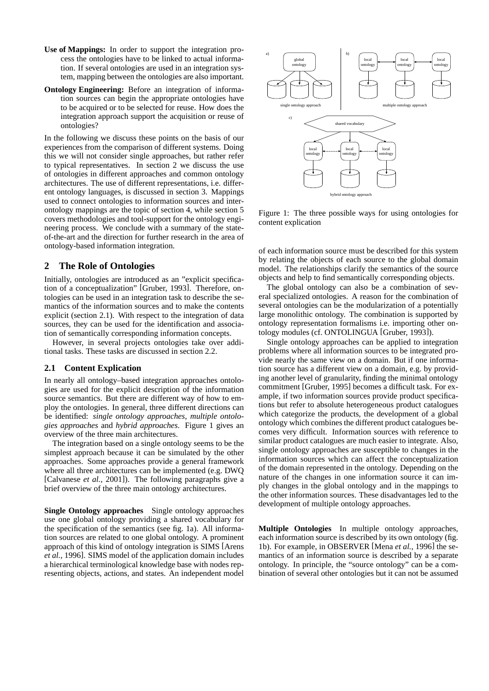- **Use of Mappings:** In order to support the integration process the ontologies have to be linked to actual information. If several ontologies are used in an integration system, mapping between the ontologies are also important.
- **Ontology Engineering:** Before an integration of information sources can begin the appropriate ontologies have to be acquired or to be selected for reuse. How does the integration approach support the acquisition or reuse of ontologies?

In the following we discuss these points on the basis of our experiences from the comparison of different systems. Doing this we will not consider single approaches, but rather refer to typical representatives. In section 2 we discuss the use of ontologies in different approaches and common ontology architectures. The use of different representations, i.e. different ontology languages, is discussed in section 3. Mappings used to connect ontologies to information sources and interontology mappings are the topic of section 4, while section 5 covers methodologies and tool-support for the ontology engineering process. We conclude with a summary of the stateof-the-art and the direction for further research in the area of ontology-based information integration.

# **2 The Role of Ontologies**

Initially, ontologies are introduced as an "explicit specification of a conceptualization" [Gruber, 1993]. Therefore, ontologies can be used in an integration task to describe the semantics of the information sources and to make the contents explicit (section 2.1). With respect to the integration of data sources, they can be used for the identification and association of semantically corresponding information concepts.

However, in several projects ontologies take over additional tasks. These tasks are discussed in section 2.2.

#### **2.1 Content Explication**

In nearly all ontology–based integration approaches ontologies are used for the explicit description of the information source semantics. But there are different way of how to employ the ontologies. In general, three different directions can be identified: *single ontology approaches*, *multiple ontologies approaches* and *hybrid approaches*. Figure 1 gives an overview of the three main architectures.

The integration based on a single ontology seems to be the simplest approach because it can be simulated by the other approaches. Some approaches provide a general framework where all three architectures can be implemented (e.g. DWQ [Calvanese *et al.*, 2001]). The following paragraphs give a brief overview of the three main ontology architectures.

**Single Ontology approaches** Single ontology approaches use one global ontology providing a shared vocabulary for the specification of the semantics (see fig. 1a). All information sources are related to one global ontology. A prominent approach of this kind of ontology integration is SIMS [Arens *et al.*, 1996]. SIMS model of the application domain includes a hierarchical terminological knowledge base with nodes representing objects, actions, and states. An independent model



Figure 1: The three possible ways for using ontologies for content explication

of each information source must be described for this system by relating the objects of each source to the global domain model. The relationships clarify the semantics of the source objects and help to find semantically corresponding objects.

The global ontology can also be a combination of several specialized ontologies. A reason for the combination of several ontologies can be the modularization of a potentially large monolithic ontology. The combination is supported by ontology representation formalisms i.e. importing other ontology modules (cf. ONTOLINGUA [Gruber, 1993]).

Single ontology approaches can be applied to integration problems where all information sources to be integrated provide nearly the same view on a domain. But if one information source has a different view on a domain, e.g. by providing another level of granularity, finding the minimal ontology commitment [Gruber, 1995] becomes a difficult task. For example, if two information sources provide product specifications but refer to absolute heterogeneous product catalogues which categorize the products, the development of a global ontology which combines the different product catalogues becomes very difficult. Information sources with reference to similar product catalogues are much easier to integrate. Also, single ontology approaches are susceptible to changes in the information sources which can affect the conceptualization of the domain represented in the ontology. Depending on the nature of the changes in one information source it can imply changes in the global ontology and in the mappings to the other information sources. These disadvantages led to the development of multiple ontology approaches.

**Multiple Ontologies** In multiple ontology approaches, each information source is described by its own ontology (fig. 1b). For example, in OBSERVER [Mena *et al.*, 1996] the semantics of an information source is described by a separate ontology. In principle, the "source ontology" can be a combination of several other ontologies but it can not be assumed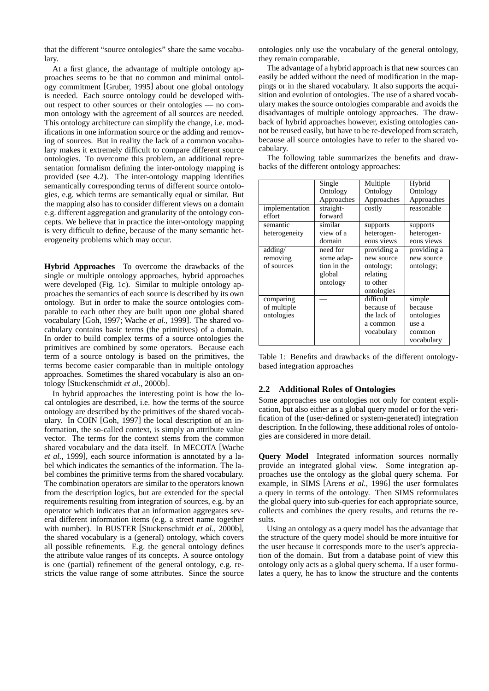that the different "source ontologies" share the same vocabulary.

At a first glance, the advantage of multiple ontology approaches seems to be that no common and minimal ontology commitment [Gruber, 1995] about one global ontology is needed. Each source ontology could be developed without respect to other sources or their ontologies — no common ontology with the agreement of all sources are needed. This ontology architecture can simplify the change, i.e. modifications in one information source or the adding and removing of sources. But in reality the lack of a common vocabulary makes it extremely difficult to compare different source ontologies. To overcome this problem, an additional representation formalism defining the inter-ontology mapping is provided (see 4.2). The inter-ontology mapping identifies semantically corresponding terms of different source ontologies, e.g. which terms are semantically equal or similar. But the mapping also has to consider different views on a domain e.g. different aggregation and granularity of the ontology concepts. We believe that in practice the inter-ontology mapping is very difficult to define, because of the many semantic heterogeneity problems which may occur.

**Hybrid Approaches** To overcome the drawbacks of the single or multiple ontology approaches, hybrid approaches were developed (Fig. 1c). Similar to multiple ontology approaches the semantics of each source is described by its own ontology. But in order to make the source ontologies comparable to each other they are built upon one global shared vocabulary [Goh, 1997; Wache *et al.*, 1999]. The shared vocabulary contains basic terms (the primitives) of a domain. In order to build complex terms of a source ontologies the primitives are combined by some operators. Because each term of a source ontology is based on the primitives, the terms become easier comparable than in multiple ontology approaches. Sometimes the shared vocabulary is also an ontology [Stuckenschmidt *et al.*, 2000b].

In hybrid approaches the interesting point is how the local ontologies are described, i.e. how the terms of the source ontology are described by the primitives of the shared vocabulary. In COIN [Goh, 1997] the local description of an information, the so-called context, is simply an attribute value vector. The terms for the context stems from the common shared vocabulary and the data itself. In MECOTA [Wache *et al.*, 1999], each source information is annotated by a label which indicates the semantics of the information. The label combines the primitive terms from the shared vocabulary. The combination operators are similar to the operators known from the description logics, but are extended for the special requirements resulting from integration of sources, e.g. by an operator which indicates that an information aggregates several different information items (e.g. a street name together with number). In BUSTER [Stuckenschmidt *et al.*, 2000b], the shared vocabulary is a (general) ontology, which covers all possible refinements. E.g. the general ontology defines the attribute value ranges of its concepts. A source ontology is one (partial) refinement of the general ontology, e.g. restricts the value range of some attributes. Since the source

ontologies only use the vocabulary of the general ontology, they remain comparable.

The advantage of a hybrid approach is that new sources can easily be added without the need of modification in the mappings or in the shared vocabulary. It also supports the acquisition and evolution of ontologies. The use of a shared vocabulary makes the source ontologies comparable and avoids the disadvantages of multiple ontology approaches. The drawback of hybrid approaches however, existing ontologies cannot be reused easily, but have to be re-developed from scratch, because all source ontologies have to refer to the shared vocabulary.

The following table summarizes the benefits and drawbacks of the different ontology approaches:

|                | Single      | Multiple    | Hybrid      |
|----------------|-------------|-------------|-------------|
|                | Ontology    | Ontology    | Ontology    |
|                | Approaches  | Approaches  | Approaches  |
| implementation | straight-   | costly      | reasonable  |
| effort         | forward     |             |             |
| semantic       | similar     | supports    | supports    |
| heterogeneity  | view of a   | heterogen-  | heterogen-  |
|                | domain      | eous views  | eous views  |
| adding/        | need for    | providing a | providing a |
| removing       | some adap-  | new source  | new source  |
| of sources     | tion in the | ontology;   | ontology;   |
|                | global      | relating    |             |
|                | ontology    | to other    |             |
|                |             | ontologies  |             |
| comparing      |             | difficult   | simple      |
| of multiple    |             | because of  | because     |
| ontologies     |             | the lack of | ontologies  |
|                |             | a common    | use a       |
|                |             | vocabulary  | common      |
|                |             |             | vocabulary  |

Table 1: Benefits and drawbacks of the different ontologybased integration approaches

# **2.2 Additional Roles of Ontologies**

Some approaches use ontologies not only for content explication, but also either as a global query model or for the verification of the (user-defined or system-generated) integration description. In the following, these additional roles of ontologies are considered in more detail.

**Query Model** Integrated information sources normally provide an integrated global view. Some integration approaches use the ontology as the global query schema. For example, in SIMS [Arens *et al.*, 1996] the user formulates a query in terms of the ontology. Then SIMS reformulates the global query into sub-queries for each appropriate source, collects and combines the query results, and returns the results.

Using an ontology as a query model has the advantage that the structure of the query model should be more intuitive for the user because it corresponds more to the user's appreciation of the domain. But from a database point of view this ontology only acts as a global query schema. If a user formulates a query, he has to know the structure and the contents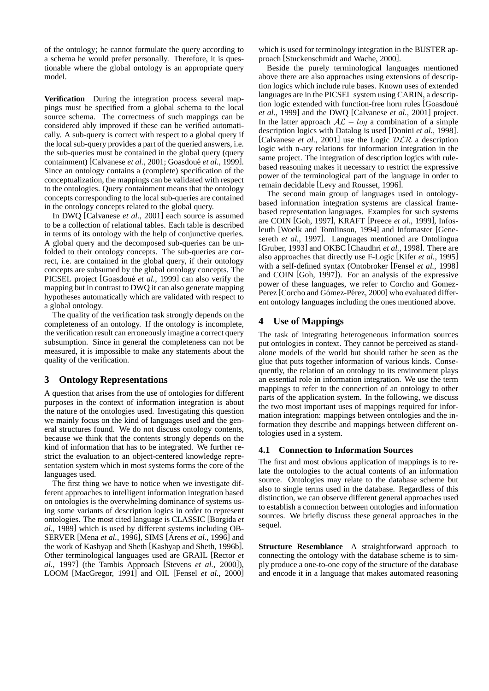of the ontology; he cannot formulate the query according to a schema he would prefer personally. Therefore, it is questionable where the global ontology is an appropriate query model.

**Verification** During the integration process several mappings must be specified from a global schema to the local source schema. The correctness of such mappings can be considered ably improved if these can be verified automatically. A sub-query is correct with respect to a global query if the local sub-query provides a part of the queried answers, i.e. the sub-queries must be contained in the global query (query containment) [Calvanese *et al.*, 2001; Goasdoué *et al.*, 1999]. Since an ontology contains a (complete) specification of the conceptualization, the mappings can be validated with respect to the ontologies. Query containment means that the ontology concepts corresponding to the local sub-queries are contained in the ontology concepts related to the global query.

In DWQ [Calvanese *et al.*, 2001] each source is assumed to be a collection of relational tables. Each table is described in terms of its ontology with the help of conjunctive queries. A global query and the decomposed sub-queries can be unfolded to their ontology concepts. The sub-queries are correct, i.e. are contained in the global query, if their ontology concepts are subsumed by the global ontology concepts. The PICSEL project [Goasdoué *et al.*, 1999] can also verify the mapping but in contrast to DWQ it can also generate mapping hypotheses automatically which are validated with respect to a global ontology.

The quality of the verification task strongly depends on the completeness of an ontology. If the ontology is incomplete, the verification result can erroneously imagine a correct query subsumption. Since in general the completeness can not be measured, it is impossible to make any statements about the quality of the verification.

# **3 Ontology Representations**

A question that arises from the use of ontologies for different purposes in the context of information integration is about the nature of the ontologies used. Investigating this question we mainly focus on the kind of languages used and the general structures found. We do not discuss ontology contents, because we think that the contents strongly depends on the kind of information that has to be integrated. We further restrict the evaluation to an object-centered knowledge representation system which in most systems forms the core of the languages used.

The first thing we have to notice when we investigate different approaches to intelligent information integration based on ontologies is the overwhelming dominance of systems using some variants of description logics in order to represent ontologies. The most cited language is CLASSIC [Borgida *et al.*, 1989] which is used by different systems including OB-SERVER [Mena *et al.*, 1996], SIMS [Arens *et al.*, 1996] and the work of Kashyap and Sheth [Kashyap and Sheth, 1996b]. Other terminological languages used are GRAIL [Rector *et al.*, 1997] (the Tambis Approach [Stevens *et al.*, 2000]), LOOM [MacGregor, 1991] and OIL [Fensel *et al.*, 2000]

which is used for terminology integration in the BUSTER approach [Stuckenschmidt and Wache, 2000].

Beside the purely terminological languages mentioned above there are also approaches using extensions of description logics which include rule bases. Known uses of extended languages are in the PICSEL system using CARIN, a description logic extended with function-free horn rules [Goasdoue´ *et al.*, 1999] and the DWQ [Calvanese *et al.*, 2001] project. In the latter approach  $A\mathcal{L} - \log a$  combination of a simple description logics with Datalog is used [Donini *et al.*, 1998]. [Calvanese *et al.*, 2001] use the Logic  $DLR$  a description logic with n-ary relations for information integration in the same project. The integration of description logics with rulebased reasoning makes it necessary to restrict the expressive power of the terminological part of the language in order to remain decidable [Levy and Rousset, 1996].

The second main group of languages used in ontologybased information integration systems are classical framebased representation languages. Examples for such systems are COIN [Goh, 1997], KRAFT [Preece *et al.*, 1999], Infosleuth [Woelk and Tomlinson, 1994] and Infomaster [Genesereth *et al.*, 1997]. Languages mentioned are Ontolingua [Gruber, 1993] and OKBC [Chaudhri *et al.*, 1998]. There are also approaches that directly use F-Logic [Kifer *et al.*, 1995] with a self-defined syntax (Ontobroker [Fensel *et al.*, 1998] and COIN [Goh, 1997]). For an analysis of the expressive power of these languages, we refer to Corcho and Gomez-Perez [Corcho and Gómez-Pérez, 2000] who evaluated different ontology languages including the ones mentioned above.

# **4 Use of Mappings**

The task of integrating heterogeneous information sources put ontologies in context. They cannot be perceived as standalone models of the world but should rather be seen as the glue that puts together information of various kinds. Consequently, the relation of an ontology to its environment plays an essential role in information integration. We use the term mappings to refer to the connection of an ontology to other parts of the application system. In the following, we discuss the two most important uses of mappings required for information integration: mappings between ontologies and the information they describe and mappings between different ontologies used in a system.

#### **4.1 Connection to Information Sources**

The first and most obvious application of mappings is to relate the ontologies to the actual contents of an information source. Ontologies may relate to the database scheme but also to single terms used in the database. Regardless of this distinction, we can observe different general approaches used to establish a connection between ontologies and information sources. We briefly discuss these general approaches in the sequel.

**Structure Resemblance** A straightforward approach to connecting the ontology with the database scheme is to simply produce a one-to-one copy of the structure of the database and encode it in a language that makes automated reasoning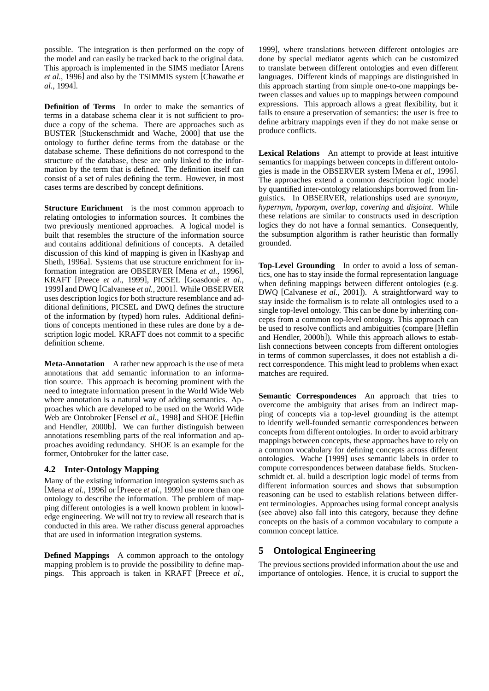possible. The integration is then performed on the copy of the model and can easily be tracked back to the original data. This approach is implemented in the SIMS mediator [Arens *et al.*, 1996] and also by the TSIMMIS system [Chawathe *et al.*, 1994].

**Definition of Terms** In order to make the semantics of terms in a database schema clear it is not sufficient to produce a copy of the schema. There are approaches such as BUSTER [Stuckenschmidt and Wache, 2000] that use the ontology to further define terms from the database or the database scheme. These definitions do not correspond to the structure of the database, these are only linked to the information by the term that is defined. The definition itself can consist of a set of rules defining the term. However, in most cases terms are described by concept definitions.

**Structure Enrichment** is the most common approach to relating ontologies to information sources. It combines the two previously mentioned approaches. A logical model is built that resembles the structure of the information source and contains additional definitions of concepts. A detailed discussion of this kind of mapping is given in [Kashyap and Sheth, 1996a]. Systems that use structure enrichment for information integration are OBSERVER [Mena *et al.*, 1996], KRAFT [Preece et al., 1999], PICSEL [Goasdoué et al., 1999] and DWQ [Calvanese *et al.*, 2001]. While OBSERVER uses description logics for both structure resemblance and additional definitions, PICSEL and DWQ defines the structure of the information by (typed) horn rules. Additional definitions of concepts mentioned in these rules are done by a description logic model. KRAFT does not commit to a specific definition scheme.

**Meta-Annotation** A rather new approach is the use of meta annotations that add semantic information to an information source. This approach is becoming prominent with the need to integrate information present in the World Wide Web where annotation is a natural way of adding semantics. Approaches which are developed to be used on the World Wide Web are Ontobroker [Fensel *et al.*, 1998] and SHOE [Heflin and Hendler, 2000b]. We can further distinguish between annotations resembling parts of the real information and approaches avoiding redundancy. SHOE is an example for the former, Ontobroker for the latter case.

# **4.2 Inter-Ontology Mapping**

Many of the existing information integration systems such as [Mena *et al.*, 1996] or [Preece *et al.*, 1999] use more than one ontology to describe the information. The problem of mapping different ontologies is a well known problem in knowledge engineering. We will not try to review all research that is conducted in this area. We rather discuss general approaches that are used in information integration systems.

**Defined Mappings** A common approach to the ontology mapping problem is to provide the possibility to define mappings. This approach is taken in KRAFT [Preece *et al.*,

1999], where translations between different ontologies are done by special mediator agents which can be customized to translate between different ontologies and even different languages. Different kinds of mappings are distinguished in this approach starting from simple one-to-one mappings between classes and values up to mappings between compound expressions. This approach allows a great flexibility, but it fails to ensure a preservation of semantics: the user is free to define arbitrary mappings even if they do not make sense or produce conflicts.

**Lexical Relations** An attempt to provide at least intuitive semantics for mappings between concepts in different ontologies is made in the OBSERVER system [Mena *et al.*, 1996]. The approaches extend a common description logic model by quantified inter-ontology relationships borrowed from linguistics. In OBSERVER, relationships used are *synonym, hypernym, hyponym, overlap, covering* and *disjoint*. While these relations are similar to constructs used in description logics they do not have a formal semantics. Consequently, the subsumption algorithm is rather heuristic than formally grounded.

**Top-Level Grounding** In order to avoid a loss of semantics, one has to stay inside the formal representation language when defining mappings between different ontologies (e.g. DWQ [Calvanese *et al.*, 2001]). A straightforward way to stay inside the formalism is to relate all ontologies used to a single top-level ontology. This can be done by inheriting concepts from a common top-level ontology. This approach can be used to resolve conflicts and ambiguities (compare [Heflin and Hendler, 2000b]). While this approach allows to establish connections between concepts from different ontologies in terms of common superclasses, it does not establish a direct correspondence. This might lead to problems when exact matches are required.

**Semantic Correspondences** An approach that tries to overcome the ambiguity that arises from an indirect mapping of concepts via a top-level grounding is the attempt to identify well-founded semantic correspondences between concepts from different ontologies. In order to avoid arbitrary mappings between concepts, these approaches have to rely on a common vocabulary for defining concepts across different ontologies. Wache [1999] uses semantic labels in order to compute correspondences between database fields. Stuckenschmidt et. al. build a description logic model of terms from different information sources and shows that subsumption reasoning can be used to establish relations between different terminologies. Approaches using formal concept analysis (see above) also fall into this category, because they define concepts on the basis of a common vocabulary to compute a common concept lattice.

# **5 Ontological Engineering**

The previous sections provided information about the use and importance of ontologies. Hence, it is crucial to support the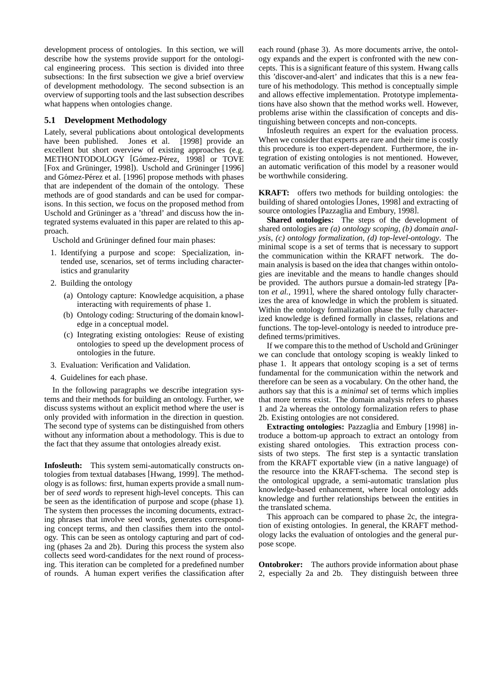development process of ontologies. In this section, we will describe how the systems provide support for the ontological engineering process. This section is divided into three subsections: In the first subsection we give a brief overview of development methodology. The second subsection is an overview of supporting tools and the last subsection describes what happens when ontologies change.

# **5.1 Development Methodology**

Lately, several publications about ontological developments<br>have been published. Jones et al. [1998] provide an Jones et al. [1998] provide an excellent but short overview of existing approaches (e.g. METHONTODOLOGY [Gómez-Pérez, 1998] or TOVE [Fox and Grüninger, 1998]). Uschold and Grüninger [1996] and Gómez-Pérez et al. [1996] propose methods with phases that are independent of the domain of the ontology. These methods are of good standards and can be used for comparisons. In this section, we focus on the proposed method from Uschold and Grüninger as a 'thread' and discuss how the integrated systems evaluated in this paper are related to this approach.

Uschold and Grüninger defined four main phases:

- 1. Identifying a purpose and scope: Specialization, intended use, scenarios, set of terms including characteristics and granularity
- 2. Building the ontology
	- (a) Ontology capture: Knowledge acquisition, a phase interacting with requirements of phase 1.
	- (b) Ontology coding: Structuring of the domain knowledge in a conceptual model.
	- (c) Integrating existing ontologies: Reuse of existing ontologies to speed up the development process of ontologies in the future.
- 3. Evaluation: Verification and Validation.
- 4. Guidelines for each phase.

In the following paragraphs we describe integration systems and their methods for building an ontology. Further, we discuss systems without an explicit method where the user is only provided with information in the direction in question. The second type of systems can be distinguished from others without any information about a methodology. This is due to the fact that they assume that ontologies already exist.

**Infosleuth:** This system semi-automatically constructs ontologies from textual databases [Hwang, 1999]. The methodology is as follows: first, human experts provide a small number of *seed words* to represent high-level concepts. This can be seen as the identification of purpose and scope (phase 1). The system then processes the incoming documents, extracting phrases that involve seed words, generates corresponding concept terms, and then classifies them into the ontology. This can be seen as ontology capturing and part of coding (phases 2a and 2b). During this process the system also collects seed word-candidates for the next round of processing. This iteration can be completed for a predefined number of rounds. A human expert verifies the classification after each round (phase 3). As more documents arrive, the ontology expands and the expert is confronted with the new concepts. This is a significant feature of this system. Hwang calls this 'discover-and-alert' and indicates that this is a new feature of his methodology. This method is conceptually simple and allows effective implementation. Prototype implementations have also shown that the method works well. However, problems arise within the classification of concepts and distinguishing between concepts and non-concepts.

Infosleuth requires an expert for the evaluation process. When we consider that experts are rare and their time is costly this procedure is too expert-dependent. Furthermore, the integration of existing ontologies is not mentioned. However, an automatic verification of this model by a reasoner would be worthwhile considering.

**KRAFT:** offers two methods for building ontologies: the building of shared ontologies [Jones, 1998] and extracting of source ontologies [Pazzaglia and Embury, 1998].

**Shared ontologies:** The steps of the development of shared ontologies are *(a) ontology scoping*, *(b) domain analysis*, *(c) ontology formalization*, *(d) top-level-ontology*. The minimal scope is a set of terms that is necessary to support the communication within the KRAFT network. The domain analysis is based on the idea that changes within ontologies are inevitable and the means to handle changes should be provided. The authors pursue a domain-led strategy [Paton *et al.*, 1991], where the shared ontology fully characterizes the area of knowledge in which the problem is situated. Within the ontology formalization phase the fully characterized knowledge is defined formally in classes, relations and functions. The top-level-ontology is needed to introduce predefined terms/primitives.

If we compare this to the method of Uschold and Grüninger we can conclude that ontology scoping is weakly linked to phase 1. It appears that ontology scoping is a set of terms fundamental for the communication within the network and therefore can be seen as a vocabulary. On the other hand, the authors say that this is a *minimal* set of terms which implies that more terms exist. The domain analysis refers to phases 1 and 2a whereas the ontology formalization refers to phase 2b. Existing ontologies are not considered.

**Extracting ontologies:** Pazzaglia and Embury [1998] introduce a bottom-up approach to extract an ontology from existing shared ontologies. This extraction process consists of two steps. The first step is a syntactic translation from the KRAFT exportable view (in a native language) of the resource into the KRAFT-schema. The second step is the ontological upgrade, a semi-automatic translation plus knowledge-based enhancement, where local ontology adds knowledge and further relationships between the entities in the translated schema.

This approach can be compared to phase 2c, the integration of existing ontologies. In general, the KRAFT methodology lacks the evaluation of ontologies and the general purpose scope.

**Ontobroker:** The authors provide information about phase 2, especially 2a and 2b. They distinguish between three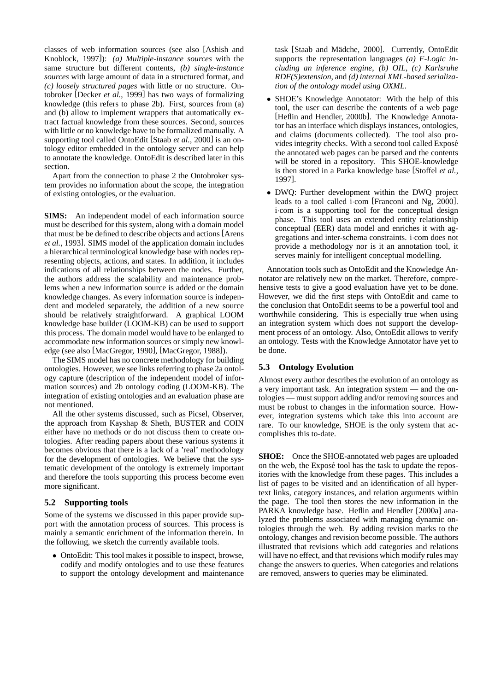classes of web information sources (see also [Ashish and Knoblock, 1997]): *(a) Multiple-instance sources* with the same structure but different contents, *(b) single-instance sources* with large amount of data in a structured format, and *(c) loosely structured pages* with little or no structure. Ontobroker [Decker *et al.*, 1999] has two ways of formalizing knowledge (this refers to phase 2b). First, sources from (a) and (b) allow to implement wrappers that automatically extract factual knowledge from these sources. Second, sources with little or no knowledge have to be formalized manually. A supporting tool called OntoEdit [Staab *et al.*, 2000] is an ontology editor embedded in the ontology server and can help to annotate the knowledge. OntoEdit is described later in this section.

Apart from the connection to phase 2 the Ontobroker system provides no information about the scope, the integration of existing ontologies, or the evaluation.

**SIMS:** An independent model of each information source must be described for this system, along with a domain model that must be be defined to describe objects and actions [Arens *et al.*, 1993]. SIMS model of the application domain includes a hierarchical terminological knowledge base with nodes representing objects, actions, and states. In addition, it includes indications of all relationships between the nodes. Further, the authors address the scalability and maintenance problems when a new information source is added or the domain knowledge changes. As every information source is independent and modeled separately, the addition of a new source should be relatively straightforward. A graphical LOOM knowledge base builder (LOOM-KB) can be used to support this process. The domain model would have to be enlarged to accommodate new information sources or simply new knowledge (see also [MacGregor, 1990], [MacGregor, 1988]).

The SIMS model has no concrete methodology for building ontologies. However, we see links referring to phase 2a ontology capture (description of the independent model of information sources) and 2b ontology coding (LOOM-KB). The integration of existing ontologies and an evaluation phase are not mentioned.

All the other systems discussed, such as Picsel, Observer, the approach from Kayshap & Sheth, BUSTER and COIN either have no methods or do not discuss them to create ontologies. After reading papers about these various systems it becomes obvious that there is a lack of a 'real' methodology for the development of ontologies. We believe that the systematic development of the ontology is extremely important and therefore the tools supporting this process become even more significant.

#### **5.2 Supporting tools**

Some of the systems we discussed in this paper provide support with the annotation process of sources. This process is mainly a semantic enrichment of the information therein. In the following, we sketch the currently available tools.

• OntoEdit: This tool makes it possible to inspect, browse, codify and modify ontologies and to use these features to support the ontology development and maintenance task [Staab and Mädche, 2000]. Currently, OntoEdit supports the representation languages *(a) F-Logic including an inference engine*, *(b) OIL*, *(c) Karlsruhe RDF(S)extension*, and *(d) internal XML-based serialization of the ontology model using OXML*.

- SHOE's Knowledge Annotator: With the help of this tool, the user can describe the contents of a web page [Heflin and Hendler, 2000b]. The Knowledge Annotator has an interface which displays instances, ontologies, and claims (documents collected). The tool also provides integrity checks. With a second tool called Expose´ the annotated web pages can be parsed and the contents will be stored in a repository. This SHOE-knowledge is then stored in a Parka knowledge base [Stoffel *et al.*, 1997].
- DWQ: Further development within the DWQ project leads to a tool called i·com [Franconi and Ng, 2000]. i·com is a supporting tool for the conceptual design phase. This tool uses an extended entity relationship conceptual (EER) data model and enriches it with aggregations and inter-schema constraints. i·com does not provide a methodology nor is it an annotation tool, it serves mainly for intelligent conceptual modelling.

Annotation tools such as OntoEdit and the Knowledge Annotator are relatively new on the market. Therefore, comprehensive tests to give a good evaluation have yet to be done. However, we did the first steps with OntoEdit and came to the conclusion that OntoEdit seems to be a powerful tool and worthwhile considering. This is especially true when using an integration system which does not support the development process of an ontology. Also, OntoEdit allows to verify an ontology. Tests with the Knowledge Annotator have yet to be done.

# **5.3 Ontology Evolution**

Almost every author describes the evolution of an ontology as a very important task. An integration system — and the ontologies — must support adding and/or removing sources and must be robust to changes in the information source. However, integration systems which take this into account are rare. To our knowledge, SHOE is the only system that accomplishes this to-date.

**SHOE:** Once the SHOE-annotated web pages are uploaded on the web, the Expose tool has the task to update the repos- ´ itories with the knowledge from these pages. This includes a list of pages to be visited and an identification of all hypertext links, category instances, and relation arguments within the page. The tool then stores the new information in the PARKA knowledge base. Heflin and Hendler [2000a] analyzed the problems associated with managing dynamic ontologies through the web. By adding revision marks to the ontology, changes and revision become possible. The authors illustrated that revisions which add categories and relations will have no effect, and that revisions which modify rules may change the answers to queries. When categories and relations are removed, answers to queries may be eliminated.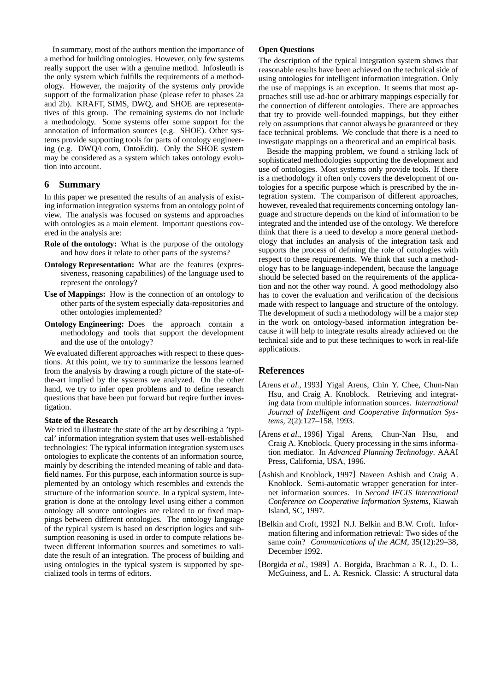In summary, most of the authors mention the importance of a method for building ontologies. However, only few systems really support the user with a genuine method. Infosleuth is the only system which fulfills the requirements of a methodology. However, the majority of the systems only provide support of the formalization phase (please refer to phases 2a and 2b). KRAFT, SIMS, DWQ, and SHOE are representatives of this group. The remaining systems do not include a methodology. Some systems offer some support for the annotation of information sources (e.g. SHOE). Other systems provide supporting tools for parts of ontology engineering (e.g. DWQ/i·com, OntoEdit). Only the SHOE system may be considered as a system which takes ontology evolution into account.

# **6 Summary**

In this paper we presented the results of an analysis of existing information integration systems from an ontology point of view. The analysis was focused on systems and approaches with ontologies as a main element. Important questions covered in the analysis are:

- **Role of the ontology:** What is the purpose of the ontology and how does it relate to other parts of the systems?
- **Ontology Representation:** What are the features (expressiveness, reasoning capabilities) of the language used to represent the ontology?
- **Use of Mappings:** How is the connection of an ontology to other parts of the system especially data-repositories and other ontologies implemented?
- **Ontology Engineering:** Does the approach contain a methodology and tools that support the development and the use of the ontology?

We evaluated different approaches with respect to these questions. At this point, we try to summarize the lessons learned from the analysis by drawing a rough picture of the state-ofthe-art implied by the systems we analyzed. On the other hand, we try to infer open problems and to define research questions that have been put forward but reqire further investigation.

#### **State of the Research**

We tried to illustrate the state of the art by describing a 'typical' information integration system that uses well-established technologies: The typical information integration system uses ontologies to explicate the contents of an information source, mainly by describing the intended meaning of table and datafield names. For this purpose, each information source is supplemented by an ontology which resembles and extends the structure of the information source. In a typical system, integration is done at the ontology level using either a common ontology all source ontologies are related to or fixed mappings between different ontologies. The ontology language of the typical system is based on description logics and subsumption reasoning is used in order to compute relations between different information sources and sometimes to validate the result of an integration. The process of building and using ontologies in the typical system is supported by specialized tools in terms of editors.

#### **Open Questions**

The description of the typical integration system shows that reasonable results have been achieved on the technical side of using ontologies for intelligent information integration. Only the use of mappings is an exception. It seems that most approaches still use ad-hoc or arbitrary mappings especially for the connection of different ontologies. There are approaches that try to provide well-founded mappings, but they either rely on assumptions that cannot always be guaranteed or they face technical problems. We conclude that there is a need to investigate mappings on a theoretical and an empirical basis.

Beside the mapping problem, we found a striking lack of sophisticated methodologies supporting the development and use of ontologies. Most systems only provide tools. If there is a methodology it often only covers the development of ontologies for a specific purpose which is prescribed by the integration system. The comparison of different approaches, however, revealed that requirements concerning ontology language and structure depends on the kind of information to be integrated and the intended use of the ontology. We therefore think that there is a need to develop a more general methodology that includes an analysis of the integration task and supports the process of defining the role of ontologies with respect to these requirements. We think that such a methodology has to be language-independent, because the language should be selected based on the requirements of the application and not the other way round. A good methodology also has to cover the evaluation and verification of the decisions made with respect to language and structure of the ontology. The development of such a methodology will be a major step in the work on ontology-based information integration because it will help to integrate results already achieved on the technical side and to put these techniques to work in real-life applications.

# **References**

- [Arens *et al.*, 1993] Yigal Arens, Chin Y. Chee, Chun-Nan Hsu, and Craig A. Knoblock. Retrieving and integrating data from multiple information sources. *International Journal of Intelligent and Cooperative Information Systems*, 2(2):127–158, 1993.
- [Arens *et al.*, 1996] Yigal Arens, Chun-Nan Hsu, and Craig A. Knoblock. Query processing in the sims information mediator. In *Advanced Planning Technology*. AAAI Press, California, USA, 1996.
- [Ashish and Knoblock, 1997] Naveen Ashish and Craig A. Knoblock. Semi-automatic wrapper generation for internet information sources. In *Second IFCIS International Conference on Cooperative Information Systems*, Kiawah Island, SC, 1997.
- [Belkin and Croft, 1992] N.J. Belkin and B.W. Croft. Information filtering and information retrieval: Two sides of the same coin? *Communications of the ACM*, 35(12):29–38, December 1992.
- [Borgida *et al.*, 1989] A. Borgida, Brachman a R. J., D. L. McGuiness, and L. A. Resnick. Classic: A structural data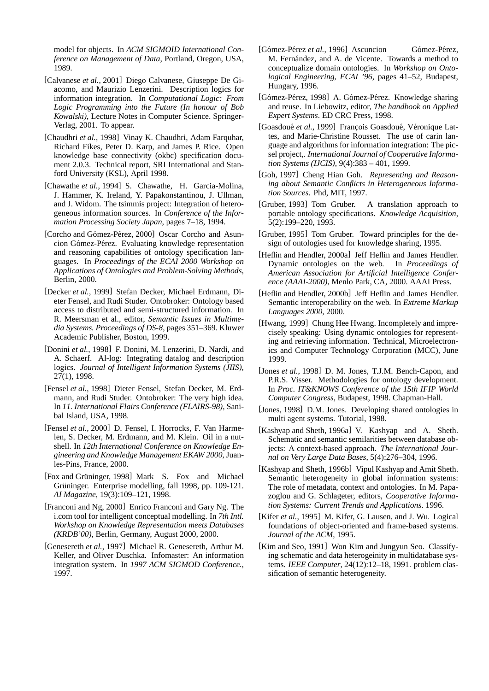model for objects. In *ACM SIGMOID International Conference on Management of Data*, Portland, Oregon, USA, 1989.

- [Calvanese *et al.*, 2001] Diego Calvanese, Giuseppe De Giacomo, and Maurizio Lenzerini. Description logics for information integration. In *Computational Logic: From Logic Programming into the Future (In honour of Bob Kowalski)*, Lecture Notes in Computer Science. Springer-Verlag, 2001. To appear.
- [Chaudhri *et al.*, 1998] Vinay K. Chaudhri, Adam Farquhar, Richard Fikes, Peter D. Karp, and James P. Rice. Open knowledge base connectivity (okbc) specification document 2.0.3. Technical report, SRI International and Stanford University (KSL), April 1998.
- [Chawathe *et al.*, 1994] S. Chawathe, H. Garcia-Molina, J. Hammer, K. Ireland, Y. Papakonstantinou, J. Ullman, and J. Widom. The tsimmis project: Integration of heterogeneous information sources. In *Conference of the Information Processing Society Japan*, pages 7–18, 1994.
- [Corcho and Gómez-Pérez, 2000] Oscar Corcho and Asuncion Gómez-Pérez. Evaluating knowledge representation and reasoning capabilities of ontology specification languages. In *Proceedings of the ECAI 2000 Workshop on Applications of Ontologies and Problem-Solving Methods*, Berlin, 2000.
- [Decker *et al.*, 1999] Stefan Decker, Michael Erdmann, Dieter Fensel, and Rudi Studer. Ontobroker: Ontology based access to distributed and semi-structured information. In R. Meersman et al., editor, *Semantic Issues in Multimedia Systems. Proceedings of DS-8*, pages 351–369. Kluwer Academic Publisher, Boston, 1999.
- [Donini et al., 1998] F. Donini, M. Lenzerini, D. Nardi, and A. Schaerf. Al-log: Integrating datalog and description logics. *Journal of Intelligent Information Systems (JIIS)*, 27(1), 1998.
- [Fensel *et al.*, 1998] Dieter Fensel, Stefan Decker, M. Erdmann, and Rudi Studer. Ontobroker: The very high idea. In *11. International Flairs Conference (FLAIRS-98)*, Sanibal Island, USA, 1998.
- [Fensel *et al.*, 2000] D. Fensel, I. Horrocks, F. Van Harmelen, S. Decker, M. Erdmann, and M. Klein. Oil in a nutshell. In *12th International Conference on Knowledge Engineering and Knowledge Management EKAW 2000*, Juanles-Pins, France, 2000.
- [Fox and Grüninger, 1998] Mark S. Fox and Michael Grüninger. Enterprise modelling, fall 1998, pp. 109-121. *AI Magazine*, 19(3):109–121, 1998.
- [Franconi and Ng, 2000] Enrico Franconi and Gary Ng. The i.com tool for intelligent conceptual modelling. In *7th Intl. Workshop on Knowledge Representation meets Databases (KRDB'00)*, Berlin, Germany, August 2000, 2000.
- [Genesereth *et al.*, 1997] Michael R. Genesereth, Arthur M. Keller, and Oliver Duschka. Infomaster: An information integration system. In *1997 ACM SIGMOD Conference.*, 1997.
- [Gómez-Pérez et al., 1996] Ascuncion Gómez-Pérez, M. Fernández, and A. de Vicente. Towards a method to conceptualize domain ontologies. In *Workshop on Ontological Engineering, ECAI '96*, pages 41–52, Budapest, Hungary, 1996.
- [Gómez-Pérez, 1998] A. Gómez-Pérez. Knowledge sharing and reuse. In Liebowitz, editor, *The handbook on Applied Expert Systems*. ED CRC Press, 1998.
- [Goasdoué et al., 1999] François Goasdoué, Véronique Lattes, and Marie-Christine Rousset. The use of carin language and algorithms for information integration: The picsel project,. *International Journal of Cooperative Information Systems (IJCIS)*, 9(4):383 – 401, 1999.
- [Goh, 1997] Cheng Hian Goh. *Representing and Reasoning about Semantic Conflicts in Heterogeneous Information Sources*. Phd, MIT, 1997.
- [Gruber, 1993] Tom Gruber. A translation approach to portable ontology specifications. *Knowledge Acquisition*, 5(2):199–220, 1993.
- [Gruber, 1995] Tom Gruber. Toward principles for the design of ontologies used for knowledge sharing, 1995.
- [Heflin and Hendler, 2000a] Jeff Heflin and James Hendler. Dynamic ontologies on the web. In *Proceedings of American Association for Artificial Intelligence Conference (AAAI-2000)*, Menlo Park, CA, 2000. AAAI Press.
- [Heflin and Hendler, 2000b] Jeff Heflin and James Hendler. Semantic interoperability on the web. In *Extreme Markup Languages 2000*, 2000.
- [Hwang, 1999] Chung Hee Hwang. Incompletely and imprecisely speaking: Using dynamic ontologies for representing and retrieving information. Technical, Microelectronics and Computer Technology Corporation (MCC), June 1999.
- [Jones *et al.*, 1998] D. M. Jones, T.J.M. Bench-Capon, and P.R.S. Visser. Methodologies for ontology development. In *Proc. IT&KNOWS Conference of the 15th IFIP World Computer Congress*, Budapest, 1998. Chapman-Hall.
- [Jones, 1998] D.M. Jones. Developing shared ontologies in multi agent systems. Tutorial, 1998.
- [Kashyap and Sheth, 1996a] V. Kashyap and A. Sheth. Schematic and semantic semilarities between database objects: A context-based approach. *The International Journal on Very Large Data Bases*, 5(4):276–304, 1996.
- [Kashyap and Sheth, 1996b] Vipul Kashyap and Amit Sheth. Semantic heterogeneity in global information systems: The role of metadata, context and ontologies. In M. Papazoglou and G. Schlageter, editors, *Cooperative Information Systems: Current Trends and Applications*. 1996.
- [Kifer *et al.*, 1995] M. Kifer, G. Lausen, and J. Wu. Logical foundations of object-oriented and frame-based systems. *Journal of the ACM*, 1995.
- [Kim and Seo, 1991] Won Kim and Jungyun Seo. Classifying schematic and data heterogeinity in multidatabase systems. *IEEE Computer*, 24(12):12–18, 1991. problem classification of semantic heterogeneity.